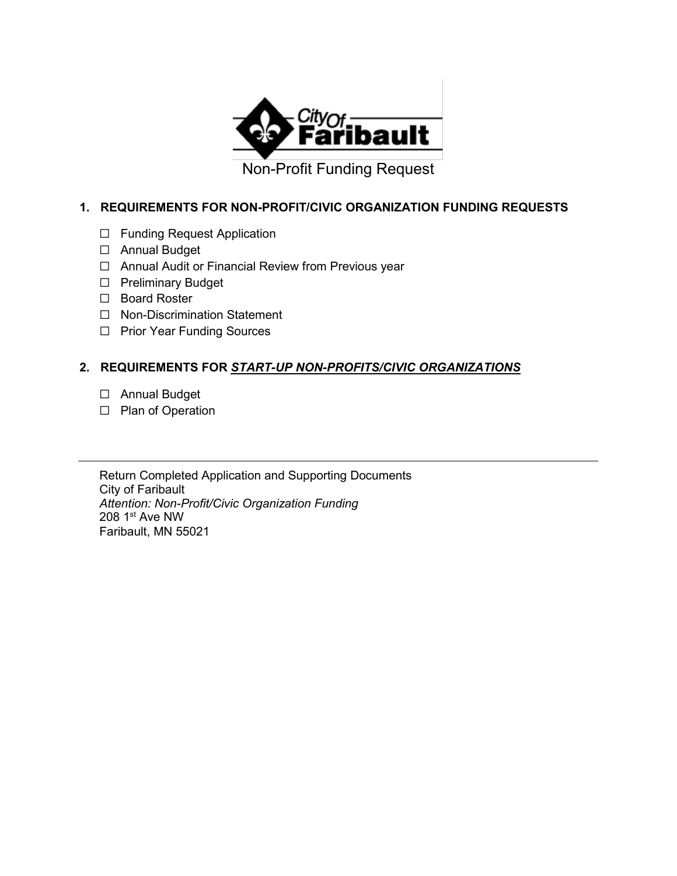

Non-Profit Funding Request

#### **1. REQUIREMENTS FOR NON-PROFIT/CIVIC ORGANIZATION FUNDING REQUESTS**

- ☐ Funding Request Application
- ☐ Annual Budget
- ☐ Annual Audit or Financial Review from Previous year
- ☐ Preliminary Budget
- ☐ Board Roster
- ☐ Non-Discrimination Statement
- ☐ Prior Year Funding Sources

### **2. REQUIREMENTS FOR** *START-UP NON-PROFITS/CIVIC ORGANIZATIONS*

- ☐ Annual Budget
- ☐ Plan of Operation

Return Completed Application and Supporting Documents City of Faribault *Attention: Non-Profit/Civic Organization Funding*  208 1st Ave NW Faribault, MN 55021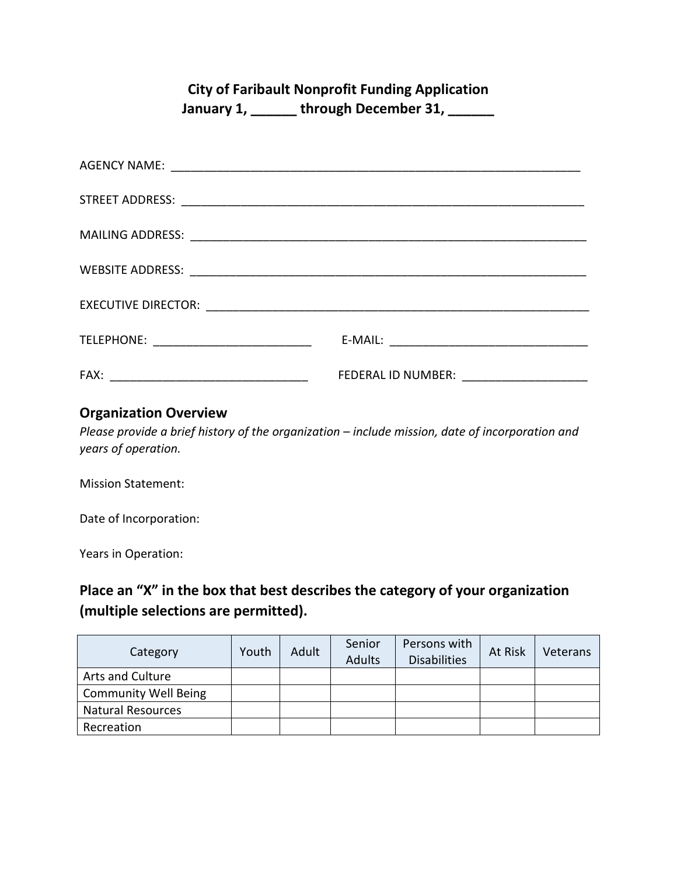# **City of Faribault Nonprofit Funding Application**

**January 1, \_\_\_\_\_\_ through December 31, \_\_\_\_\_\_**

| TELEPHONE: _______________________________ |                                           |
|--------------------------------------------|-------------------------------------------|
| FAX:                                       | FEDERAL ID NUMBER: ______________________ |

## **Organization Overview**

*Please provide a brief history of the organization – include mission, date of incorporation and years of operation.*

Mission Statement:

Date of Incorporation:

Years in Operation:

# **Place an "X" in the box that best describes the category of your organization (multiple selections are permitted).**

| Category                    | Youth | Adult | Senior<br><b>Adults</b> | Persons with<br><b>Disabilities</b> | At Risk | Veterans |
|-----------------------------|-------|-------|-------------------------|-------------------------------------|---------|----------|
| Arts and Culture            |       |       |                         |                                     |         |          |
| <b>Community Well Being</b> |       |       |                         |                                     |         |          |
| <b>Natural Resources</b>    |       |       |                         |                                     |         |          |
| Recreation                  |       |       |                         |                                     |         |          |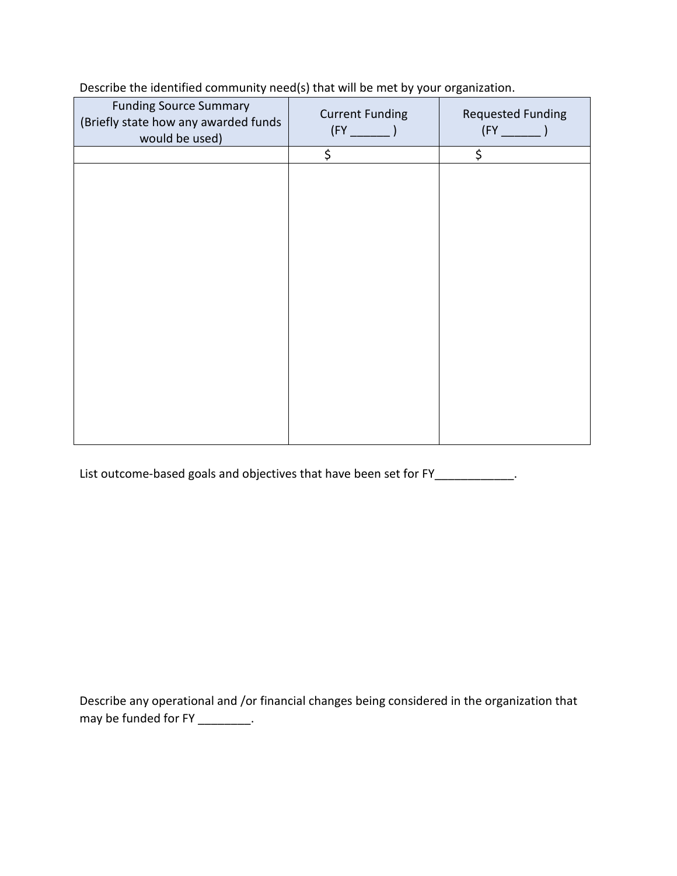| <b>Funding Source Summary</b><br>(Briefly state how any awarded funds<br>would be used) | <b>Current Funding</b> | <b>Requested Funding</b> |
|-----------------------------------------------------------------------------------------|------------------------|--------------------------|
|                                                                                         | \$                     | \$                       |
|                                                                                         |                        |                          |
|                                                                                         |                        |                          |
|                                                                                         |                        |                          |
|                                                                                         |                        |                          |
|                                                                                         |                        |                          |
|                                                                                         |                        |                          |
|                                                                                         |                        |                          |
|                                                                                         |                        |                          |
|                                                                                         |                        |                          |
|                                                                                         |                        |                          |
|                                                                                         |                        |                          |
|                                                                                         |                        |                          |
|                                                                                         |                        |                          |
|                                                                                         |                        |                          |
|                                                                                         |                        |                          |
|                                                                                         |                        |                          |
|                                                                                         |                        |                          |

Describe the identified community need(s) that will be met by your organization.

List outcome-based goals and objectives that have been set for FY\_\_\_\_\_\_\_\_\_\_\_\_.

Describe any operational and /or financial changes being considered in the organization that may be funded for FY \_\_\_\_\_\_\_\_\_.